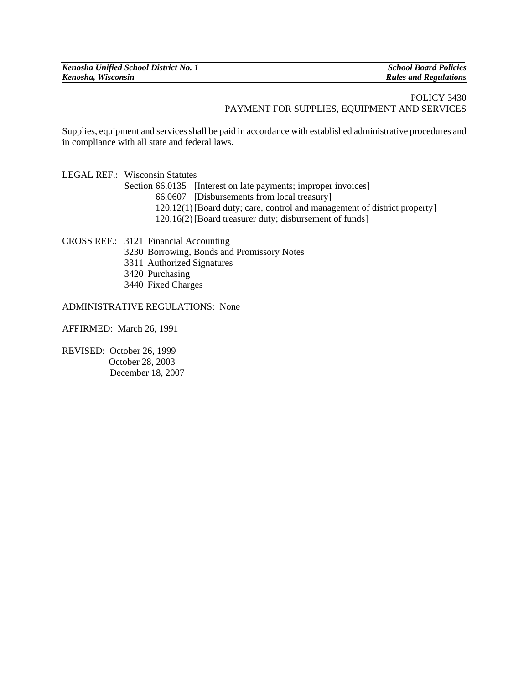## POLICY 3430 PAYMENT FOR SUPPLIES, EQUIPMENT AND SERVICES

Supplies, equipment and services shall be paid in accordance with established administrative procedures and in compliance with all state and federal laws.

LEGAL REF.: Wisconsin Statutes Section 66.0135 [Interest on late payments; improper invoices] 66.0607 [Disbursements from local treasury] 120.12(1) [Board duty; care, control and management of district property] 120,16(2) [Board treasurer duty; disbursement of funds]

CROSS REF.: 3121 Financial Accounting

- 3230 Borrowing, Bonds and Promissory Notes
- 3311 Authorized Signatures
- 3420 Purchasing
- 3440 Fixed Charges

ADMINISTRATIVE REGULATIONS: None

AFFIRMED: March 26, 1991

REVISED: October 26, 1999 October 28, 2003 December 18, 2007